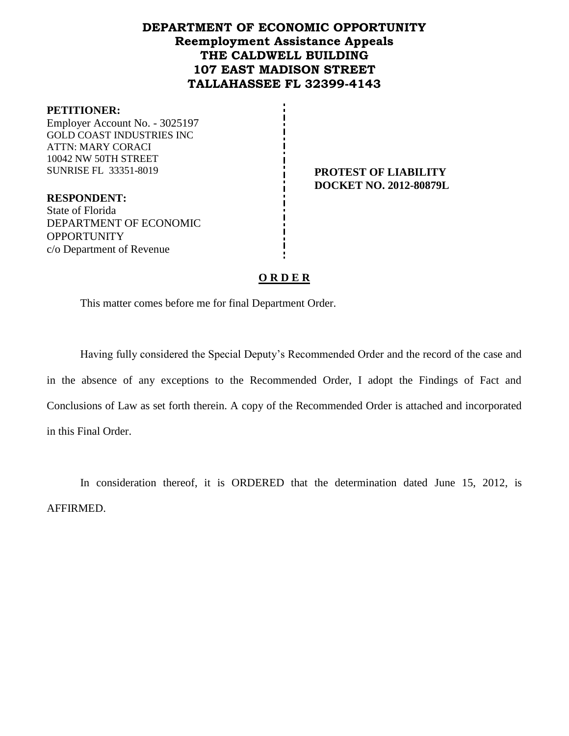## **DEPARTMENT OF ECONOMIC OPPORTUNITY Reemployment Assistance Appeals THE CALDWELL BUILDING 107 EAST MADISON STREET TALLAHASSEE FL 32399-4143**

#### **PETITIONER:**

Employer Account No. - 3025197 GOLD COAST INDUSTRIES INC ATTN: MARY CORACI 10042 NW 50TH STREET SUNRISE FL 33351-8019 **PROTEST OF LIABILITY**

**DOCKET NO. 2012-80879L**

**RESPONDENT:** State of Florida DEPARTMENT OF ECONOMIC **OPPORTUNITY** c/o Department of Revenue

### **O R D E R**

This matter comes before me for final Department Order.

Having fully considered the Special Deputy's Recommended Order and the record of the case and in the absence of any exceptions to the Recommended Order, I adopt the Findings of Fact and Conclusions of Law as set forth therein. A copy of the Recommended Order is attached and incorporated in this Final Order.

In consideration thereof, it is ORDERED that the determination dated June 15, 2012, is AFFIRMED.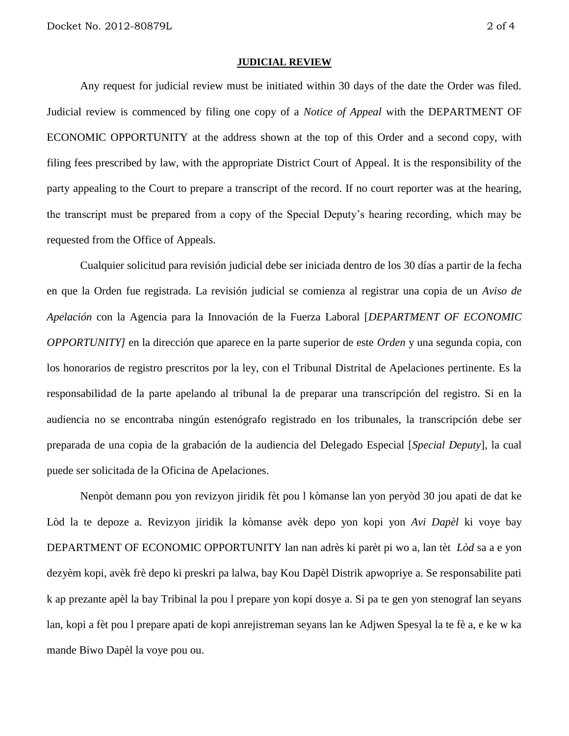#### **JUDICIAL REVIEW**

Any request for judicial review must be initiated within 30 days of the date the Order was filed. Judicial review is commenced by filing one copy of a *Notice of Appeal* with the DEPARTMENT OF ECONOMIC OPPORTUNITY at the address shown at the top of this Order and a second copy, with filing fees prescribed by law, with the appropriate District Court of Appeal. It is the responsibility of the party appealing to the Court to prepare a transcript of the record. If no court reporter was at the hearing, the transcript must be prepared from a copy of the Special Deputy's hearing recording, which may be requested from the Office of Appeals.

Cualquier solicitud para revisión judicial debe ser iniciada dentro de los 30 días a partir de la fecha en que la Orden fue registrada. La revisión judicial se comienza al registrar una copia de un *Aviso de Apelación* con la Agencia para la Innovación de la Fuerza Laboral [*DEPARTMENT OF ECONOMIC OPPORTUNITY]* en la dirección que aparece en la parte superior de este *Orden* y una segunda copia, con los honorarios de registro prescritos por la ley, con el Tribunal Distrital de Apelaciones pertinente. Es la responsabilidad de la parte apelando al tribunal la de preparar una transcripción del registro. Si en la audiencia no se encontraba ningún estenógrafo registrado en los tribunales, la transcripción debe ser preparada de una copia de la grabación de la audiencia del Delegado Especial [*Special Deputy*], la cual puede ser solicitada de la Oficina de Apelaciones.

Nenpòt demann pou yon revizyon jiridik fèt pou l kòmanse lan yon peryòd 30 jou apati de dat ke Lòd la te depoze a. Revizyon jiridik la kòmanse avèk depo yon kopi yon *Avi Dapèl* ki voye bay DEPARTMENT OF ECONOMIC OPPORTUNITY lan nan adrès ki parèt pi wo a, lan tèt *Lòd* sa a e yon dezyèm kopi, avèk frè depo ki preskri pa lalwa, bay Kou Dapèl Distrik apwopriye a. Se responsabilite pati k ap prezante apèl la bay Tribinal la pou l prepare yon kopi dosye a. Si pa te gen yon stenograf lan seyans lan, kopi a fèt pou l prepare apati de kopi anrejistreman seyans lan ke Adjwen Spesyal la te fè a, e ke w ka mande Biwo Dapèl la voye pou ou.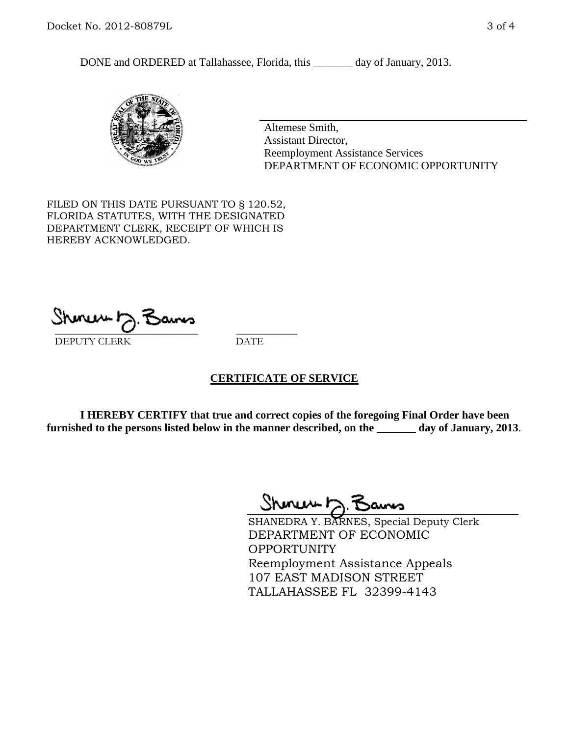DONE and ORDERED at Tallahassee, Florida, this \_\_\_\_\_\_\_ day of January, 2013.



Altemese Smith, Assistant Director, Reemployment Assistance Services DEPARTMENT OF ECONOMIC OPPORTUNITY

FILED ON THIS DATE PURSUANT TO § 120.52, FLORIDA STATUTES, WITH THE DESIGNATED DEPARTMENT CLERK, RECEIPT OF WHICH IS HEREBY ACKNOWLEDGED.

 $\overline{\phantom{a}}$  ,  $\overline{\phantom{a}}$  ,  $\overline{\phantom{a}}$  ,  $\overline{\phantom{a}}$  ,  $\overline{\phantom{a}}$  ,  $\overline{\phantom{a}}$  ,  $\overline{\phantom{a}}$  ,  $\overline{\phantom{a}}$  ,  $\overline{\phantom{a}}$  ,  $\overline{\phantom{a}}$  ,  $\overline{\phantom{a}}$  ,  $\overline{\phantom{a}}$  ,  $\overline{\phantom{a}}$  ,  $\overline{\phantom{a}}$  ,  $\overline{\phantom{a}}$  ,  $\overline{\phantom{a}}$ DEPUTY CLERK DATE

### **CERTIFICATE OF SERVICE**

**I HEREBY CERTIFY that true and correct copies of the foregoing Final Order have been furnished to the persons listed below in the manner described, on the \_\_\_\_\_\_\_ day of January, 2013**.

 $Shmum \sim 7$ 

SHANEDRA Y. BARNES, Special Deputy Clerk DEPARTMENT OF ECONOMIC **OPPORTUNITY** Reemployment Assistance Appeals 107 EAST MADISON STREET TALLAHASSEE FL 32399-4143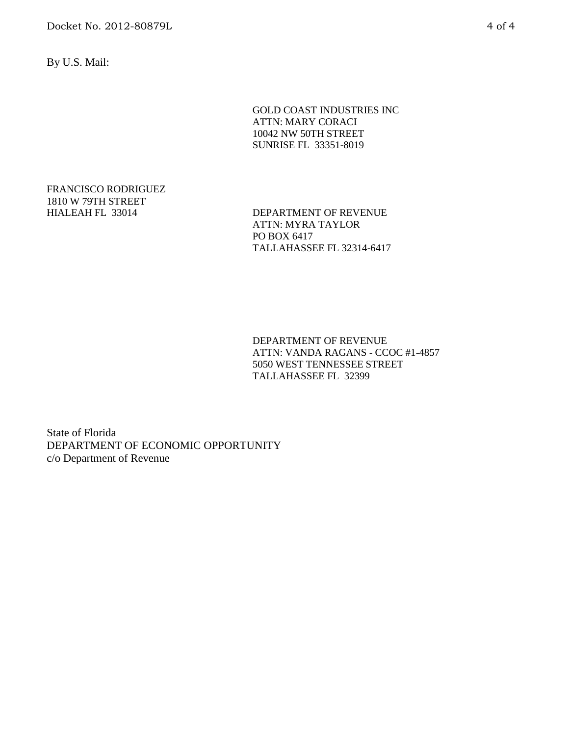Docket No. 2012-80879L 4 of 4

By U.S. Mail:

GOLD COAST INDUSTRIES INC ATTN: MARY CORACI 10042 NW 50TH STREET SUNRISE FL 33351-8019

# FRANCISCO RODRIGUEZ 1810 W 79TH STREET

HIALEAH FL 33014 DEPARTMENT OF REVENUE ATTN: MYRA TAYLOR PO BOX 6417 TALLAHASSEE FL 32314-6417

> DEPARTMENT OF REVENUE ATTN: VANDA RAGANS - CCOC #1-4857 5050 WEST TENNESSEE STREET TALLAHASSEE FL 32399

State of Florida DEPARTMENT OF ECONOMIC OPPORTUNITY c/o Department of Revenue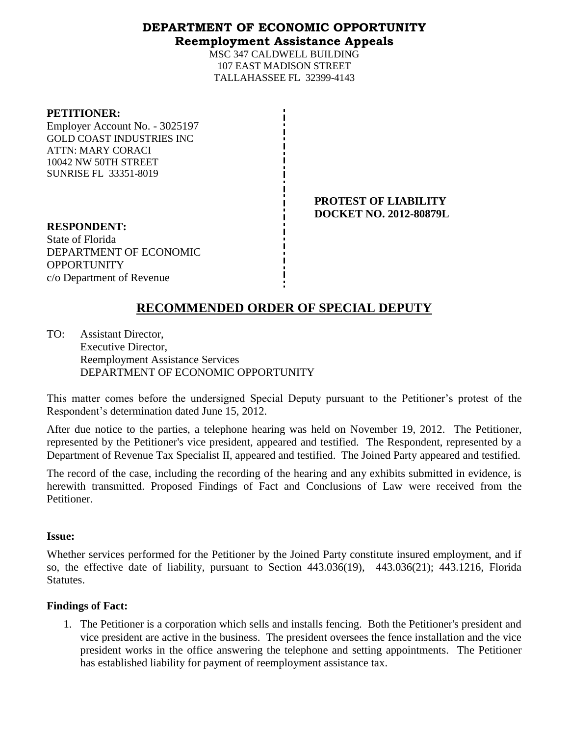## **DEPARTMENT OF ECONOMIC OPPORTUNITY Reemployment Assistance Appeals**

MSC 347 CALDWELL BUILDING 107 EAST MADISON STREET TALLAHASSEE FL 32399-4143

#### **PETITIONER:**

Employer Account No. - 3025197 GOLD COAST INDUSTRIES INC ATTN: MARY CORACI 10042 NW 50TH STREET SUNRISE FL 33351-8019

> **PROTEST OF LIABILITY DOCKET NO. 2012-80879L**

**RESPONDENT:** State of Florida DEPARTMENT OF ECONOMIC **OPPORTUNITY** c/o Department of Revenue

# **RECOMMENDED ORDER OF SPECIAL DEPUTY**

TO: Assistant Director, Executive Director, Reemployment Assistance Services DEPARTMENT OF ECONOMIC OPPORTUNITY

This matter comes before the undersigned Special Deputy pursuant to the Petitioner's protest of the Respondent's determination dated June 15, 2012.

After due notice to the parties, a telephone hearing was held on November 19, 2012. The Petitioner, represented by the Petitioner's vice president, appeared and testified. The Respondent, represented by a Department of Revenue Tax Specialist II, appeared and testified. The Joined Party appeared and testified.

The record of the case, including the recording of the hearing and any exhibits submitted in evidence, is herewith transmitted. Proposed Findings of Fact and Conclusions of Law were received from the Petitioner.

### **Issue:**

Whether services performed for the Petitioner by the Joined Party constitute insured employment, and if so, the effective date of liability, pursuant to Section 443.036(19), 443.036(21); 443.1216, Florida Statutes.

### **Findings of Fact:**

1. The Petitioner is a corporation which sells and installs fencing. Both the Petitioner's president and vice president are active in the business. The president oversees the fence installation and the vice president works in the office answering the telephone and setting appointments. The Petitioner has established liability for payment of reemployment assistance tax.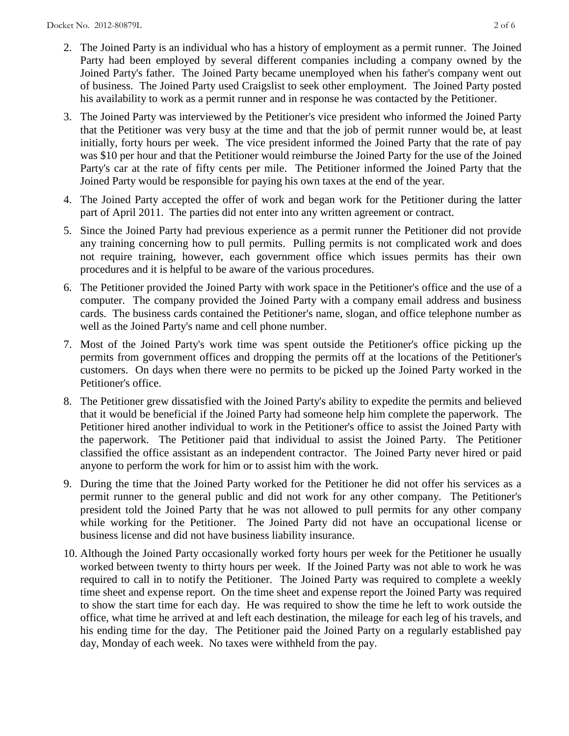- 2. The Joined Party is an individual who has a history of employment as a permit runner. The Joined Party had been employed by several different companies including a company owned by the Joined Party's father. The Joined Party became unemployed when his father's company went out of business. The Joined Party used Craigslist to seek other employment. The Joined Party posted his availability to work as a permit runner and in response he was contacted by the Petitioner.
- 3. The Joined Party was interviewed by the Petitioner's vice president who informed the Joined Party that the Petitioner was very busy at the time and that the job of permit runner would be, at least initially, forty hours per week. The vice president informed the Joined Party that the rate of pay was \$10 per hour and that the Petitioner would reimburse the Joined Party for the use of the Joined Party's car at the rate of fifty cents per mile. The Petitioner informed the Joined Party that the Joined Party would be responsible for paying his own taxes at the end of the year.
- 4. The Joined Party accepted the offer of work and began work for the Petitioner during the latter part of April 2011. The parties did not enter into any written agreement or contract.
- 5. Since the Joined Party had previous experience as a permit runner the Petitioner did not provide any training concerning how to pull permits. Pulling permits is not complicated work and does not require training, however, each government office which issues permits has their own procedures and it is helpful to be aware of the various procedures.
- 6. The Petitioner provided the Joined Party with work space in the Petitioner's office and the use of a computer. The company provided the Joined Party with a company email address and business cards. The business cards contained the Petitioner's name, slogan, and office telephone number as well as the Joined Party's name and cell phone number.
- 7. Most of the Joined Party's work time was spent outside the Petitioner's office picking up the permits from government offices and dropping the permits off at the locations of the Petitioner's customers. On days when there were no permits to be picked up the Joined Party worked in the Petitioner's office.
- 8. The Petitioner grew dissatisfied with the Joined Party's ability to expedite the permits and believed that it would be beneficial if the Joined Party had someone help him complete the paperwork. The Petitioner hired another individual to work in the Petitioner's office to assist the Joined Party with the paperwork. The Petitioner paid that individual to assist the Joined Party. The Petitioner classified the office assistant as an independent contractor. The Joined Party never hired or paid anyone to perform the work for him or to assist him with the work.
- 9. During the time that the Joined Party worked for the Petitioner he did not offer his services as a permit runner to the general public and did not work for any other company. The Petitioner's president told the Joined Party that he was not allowed to pull permits for any other company while working for the Petitioner. The Joined Party did not have an occupational license or business license and did not have business liability insurance.
- 10. Although the Joined Party occasionally worked forty hours per week for the Petitioner he usually worked between twenty to thirty hours per week. If the Joined Party was not able to work he was required to call in to notify the Petitioner. The Joined Party was required to complete a weekly time sheet and expense report. On the time sheet and expense report the Joined Party was required to show the start time for each day. He was required to show the time he left to work outside the office, what time he arrived at and left each destination, the mileage for each leg of his travels, and his ending time for the day. The Petitioner paid the Joined Party on a regularly established pay day, Monday of each week. No taxes were withheld from the pay.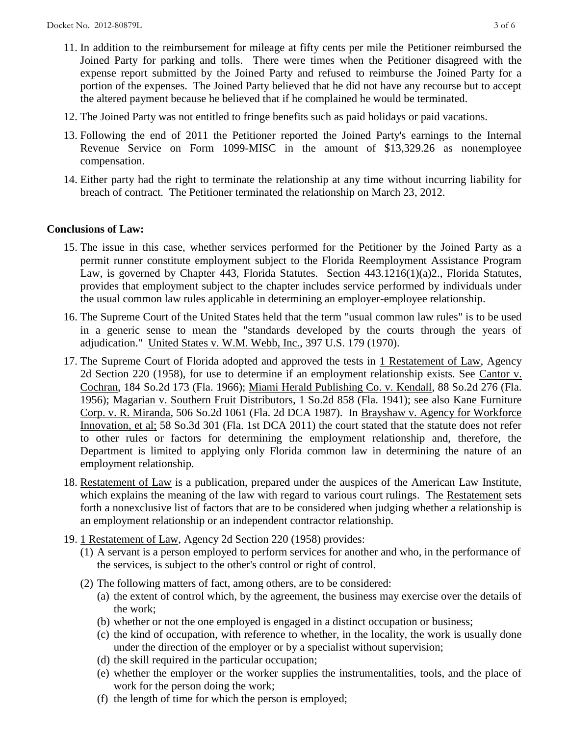- 11. In addition to the reimbursement for mileage at fifty cents per mile the Petitioner reimbursed the Joined Party for parking and tolls. There were times when the Petitioner disagreed with the expense report submitted by the Joined Party and refused to reimburse the Joined Party for a portion of the expenses. The Joined Party believed that he did not have any recourse but to accept the altered payment because he believed that if he complained he would be terminated.
- 12. The Joined Party was not entitled to fringe benefits such as paid holidays or paid vacations.
- 13. Following the end of 2011 the Petitioner reported the Joined Party's earnings to the Internal Revenue Service on Form 1099-MISC in the amount of \$13,329.26 as nonemployee compensation.
- 14. Either party had the right to terminate the relationship at any time without incurring liability for breach of contract. The Petitioner terminated the relationship on March 23, 2012.

## **Conclusions of Law:**

- 15. The issue in this case, whether services performed for the Petitioner by the Joined Party as a permit runner constitute employment subject to the Florida Reemployment Assistance Program Law, is governed by Chapter 443, Florida Statutes. Section 443.1216(1)(a)2., Florida Statutes, provides that employment subject to the chapter includes service performed by individuals under the usual common law rules applicable in determining an employer-employee relationship.
- 16. The Supreme Court of the United States held that the term "usual common law rules" is to be used in a generic sense to mean the "standards developed by the courts through the years of adjudication." United States v. W.M. Webb, Inc., 397 U.S. 179 (1970).
- 17. The Supreme Court of Florida adopted and approved the tests in 1 Restatement of Law, Agency 2d Section 220 (1958), for use to determine if an employment relationship exists. See Cantor v. Cochran, 184 So.2d 173 (Fla. 1966); Miami Herald Publishing Co. v. Kendall, 88 So.2d 276 (Fla. 1956); Magarian v. Southern Fruit Distributors, 1 So.2d 858 (Fla. 1941); see also Kane Furniture Corp. v. R. Miranda, 506 So.2d 1061 (Fla. 2d DCA 1987). In Brayshaw v. Agency for Workforce Innovation, et al; 58 So.3d 301 (Fla. 1st DCA 2011) the court stated that the statute does not refer to other rules or factors for determining the employment relationship and, therefore, the Department is limited to applying only Florida common law in determining the nature of an employment relationship.
- 18. Restatement of Law is a publication, prepared under the auspices of the American Law Institute, which explains the meaning of the law with regard to various court rulings. The Restatement sets forth a nonexclusive list of factors that are to be considered when judging whether a relationship is an employment relationship or an independent contractor relationship.
- 19. 1 Restatement of Law, Agency 2d Section 220 (1958) provides:
	- (1) A servant is a person employed to perform services for another and who, in the performance of the services, is subject to the other's control or right of control.
	- (2) The following matters of fact, among others, are to be considered:
		- (a) the extent of control which, by the agreement, the business may exercise over the details of the work;
		- (b) whether or not the one employed is engaged in a distinct occupation or business;
		- (c) the kind of occupation, with reference to whether, in the locality, the work is usually done under the direction of the employer or by a specialist without supervision;
		- (d) the skill required in the particular occupation;
		- (e) whether the employer or the worker supplies the instrumentalities, tools, and the place of work for the person doing the work;
		- (f) the length of time for which the person is employed;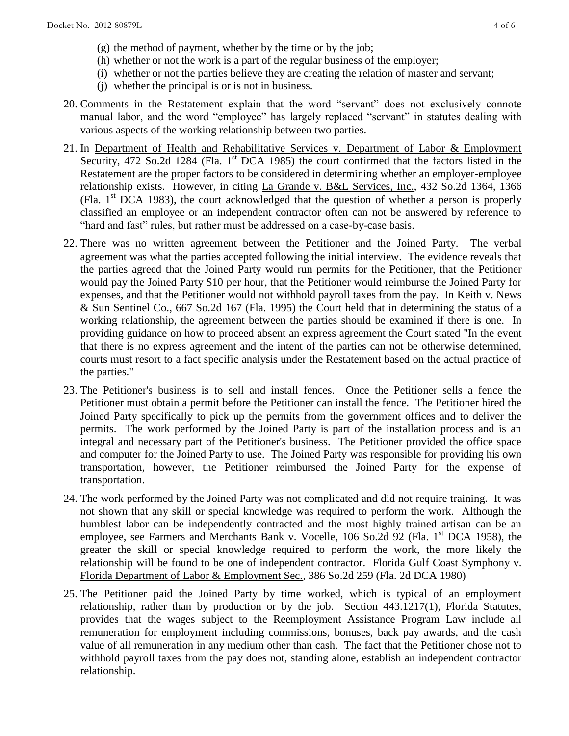- (g) the method of payment, whether by the time or by the job;
- (h) whether or not the work is a part of the regular business of the employer;
- (i) whether or not the parties believe they are creating the relation of master and servant;
- (j) whether the principal is or is not in business.
- 20. Comments in the Restatement explain that the word "servant" does not exclusively connote manual labor, and the word "employee" has largely replaced "servant" in statutes dealing with various aspects of the working relationship between two parties.
- 21. In Department of Health and Rehabilitative Services v. Department of Labor & Employment Security, 472 So.2d 1284 (Fla. 1<sup>st</sup> DCA 1985) the court confirmed that the factors listed in the Restatement are the proper factors to be considered in determining whether an employer-employee relationship exists. However, in citing La Grande v. B&L Services, Inc., 432 So.2d 1364, 1366 (Fla.  $1<sup>st</sup> DCA$  1983), the court acknowledged that the question of whether a person is properly classified an employee or an independent contractor often can not be answered by reference to "hard and fast" rules, but rather must be addressed on a case-by-case basis.
- 22. There was no written agreement between the Petitioner and the Joined Party. The verbal agreement was what the parties accepted following the initial interview. The evidence reveals that the parties agreed that the Joined Party would run permits for the Petitioner, that the Petitioner would pay the Joined Party \$10 per hour, that the Petitioner would reimburse the Joined Party for expenses, and that the Petitioner would not withhold payroll taxes from the pay. In Keith v. News & Sun Sentinel Co., 667 So.2d 167 (Fla. 1995) the Court held that in determining the status of a working relationship, the agreement between the parties should be examined if there is one. In providing guidance on how to proceed absent an express agreement the Court stated "In the event that there is no express agreement and the intent of the parties can not be otherwise determined, courts must resort to a fact specific analysis under the Restatement based on the actual practice of the parties."
- 23. The Petitioner's business is to sell and install fences. Once the Petitioner sells a fence the Petitioner must obtain a permit before the Petitioner can install the fence. The Petitioner hired the Joined Party specifically to pick up the permits from the government offices and to deliver the permits. The work performed by the Joined Party is part of the installation process and is an integral and necessary part of the Petitioner's business. The Petitioner provided the office space and computer for the Joined Party to use. The Joined Party was responsible for providing his own transportation, however, the Petitioner reimbursed the Joined Party for the expense of transportation.
- 24. The work performed by the Joined Party was not complicated and did not require training. It was not shown that any skill or special knowledge was required to perform the work. Although the humblest labor can be independently contracted and the most highly trained artisan can be an employee, see Farmers and Merchants Bank v. Vocelle, 106 So.2d 92 (Fla. 1<sup>st</sup> DCA 1958), the greater the skill or special knowledge required to perform the work, the more likely the relationship will be found to be one of independent contractor. Florida Gulf Coast Symphony v. Florida Department of Labor & Employment Sec., 386 So.2d 259 (Fla. 2d DCA 1980)
- 25. The Petitioner paid the Joined Party by time worked, which is typical of an employment relationship, rather than by production or by the job. Section 443.1217(1), Florida Statutes, provides that the wages subject to the Reemployment Assistance Program Law include all remuneration for employment including commissions, bonuses, back pay awards, and the cash value of all remuneration in any medium other than cash. The fact that the Petitioner chose not to withhold payroll taxes from the pay does not, standing alone, establish an independent contractor relationship.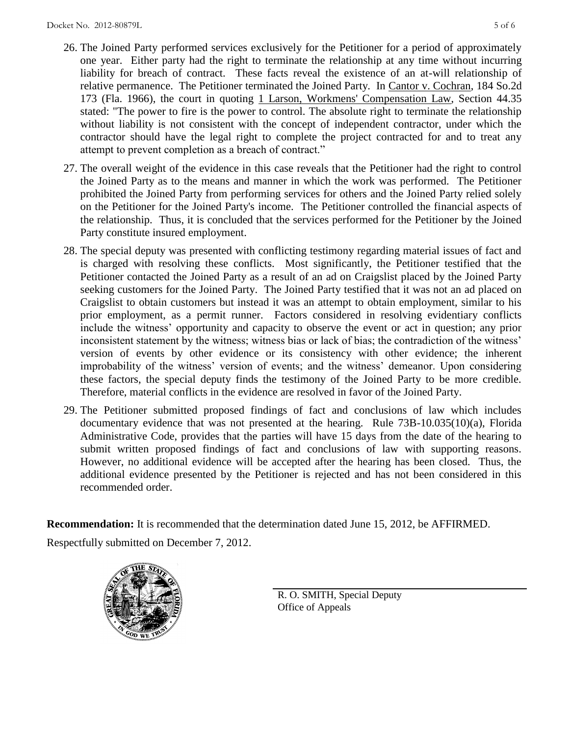- 26. The Joined Party performed services exclusively for the Petitioner for a period of approximately one year. Either party had the right to terminate the relationship at any time without incurring liability for breach of contract. These facts reveal the existence of an at-will relationship of relative permanence. The Petitioner terminated the Joined Party. In Cantor v. Cochran, 184 So.2d 173 (Fla. 1966), the court in quoting 1 Larson, Workmens' Compensation Law, Section 44.35 stated: "The power to fire is the power to control. The absolute right to terminate the relationship without liability is not consistent with the concept of independent contractor, under which the contractor should have the legal right to complete the project contracted for and to treat any attempt to prevent completion as a breach of contract."
- 27. The overall weight of the evidence in this case reveals that the Petitioner had the right to control the Joined Party as to the means and manner in which the work was performed. The Petitioner prohibited the Joined Party from performing services for others and the Joined Party relied solely on the Petitioner for the Joined Party's income. The Petitioner controlled the financial aspects of the relationship. Thus, it is concluded that the services performed for the Petitioner by the Joined Party constitute insured employment.
- 28. The special deputy was presented with conflicting testimony regarding material issues of fact and is charged with resolving these conflicts. Most significantly, the Petitioner testified that the Petitioner contacted the Joined Party as a result of an ad on Craigslist placed by the Joined Party seeking customers for the Joined Party. The Joined Party testified that it was not an ad placed on Craigslist to obtain customers but instead it was an attempt to obtain employment, similar to his prior employment, as a permit runner. Factors considered in resolving evidentiary conflicts include the witness' opportunity and capacity to observe the event or act in question; any prior inconsistent statement by the witness; witness bias or lack of bias; the contradiction of the witness' version of events by other evidence or its consistency with other evidence; the inherent improbability of the witness' version of events; and the witness' demeanor. Upon considering these factors, the special deputy finds the testimony of the Joined Party to be more credible. Therefore, material conflicts in the evidence are resolved in favor of the Joined Party.
- 29. The Petitioner submitted proposed findings of fact and conclusions of law which includes documentary evidence that was not presented at the hearing. Rule 73B-10.035(10)(a), Florida Administrative Code, provides that the parties will have 15 days from the date of the hearing to submit written proposed findings of fact and conclusions of law with supporting reasons. However, no additional evidence will be accepted after the hearing has been closed. Thus, the additional evidence presented by the Petitioner is rejected and has not been considered in this recommended order.

**Recommendation:** It is recommended that the determination dated June 15, 2012, be AFFIRMED.

Respectfully submitted on December 7, 2012.



R. O. SMITH, Special Deputy Office of Appeals